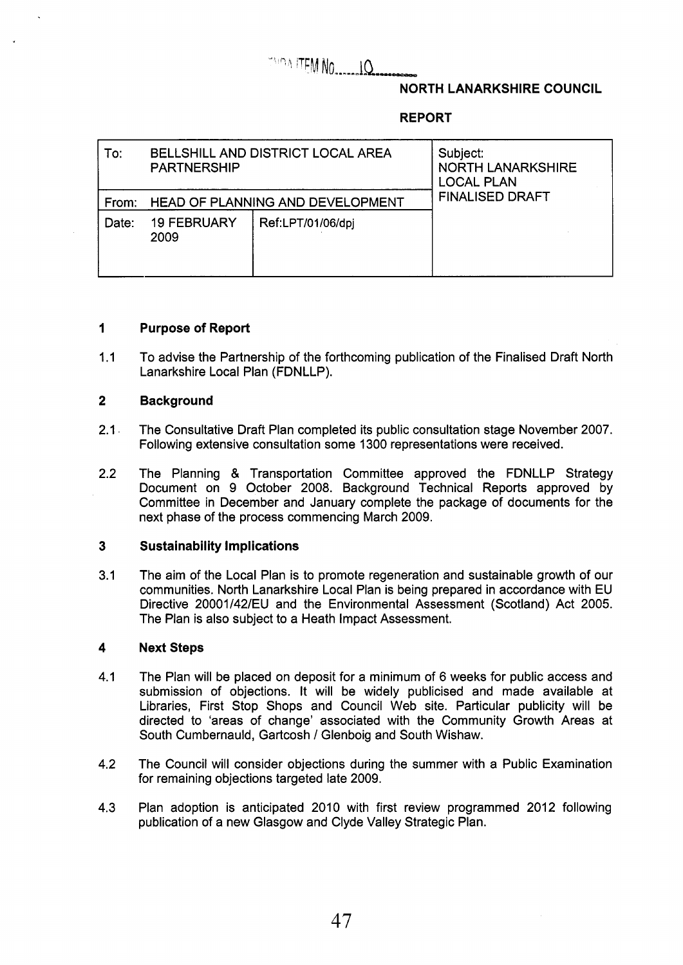# **TAIRIA ITEM NO........ IQ.**

# **NORTH LANARKSHIRE COUNCIL**

# **REPORT**

| To:   | BELLSHILL AND DISTRICT LOCAL AREA<br><b>PARTNERSHIP</b> |                   | Subject:<br><b>NORTH LANARKSHIRE</b><br><b>LOCAL PLAN</b><br><b>FINALISED DRAFT</b> |  |
|-------|---------------------------------------------------------|-------------------|-------------------------------------------------------------------------------------|--|
| From: | HEAD OF PLANNING AND DEVELOPMENT                        |                   |                                                                                     |  |
| Date: | <b>19 FEBRUARY</b><br>2009                              | Ref:LPT/01/06/dpj |                                                                                     |  |

# **1 Purpose of Report**

1.1 To advise the Partnership of the forthcoming publication of the Finalised Draft North Lanarkshire Local Plan (FDNLLP).

## **2 Background**

- 2.1 The Consultative Draft Plan completed its public consultation stage November 2007. Following extensive consultation some 1300 representations were received.
- 2.2 The Planning & Transportation Committee approved the FDNLLP Strategy Document on 9 October 2008. Background Technical Reports approved by Committee in December and January complete the package of documents for the next phase of the process commencing March 2009.

#### **3 Sustainability Implications**

3.1 The aim of the Local Plan is to promote regeneration and sustainable growth of our communities. North Lanarkshire Local Plan is being prepared in accordance with EU Directive 20001/42/EU and the Environmental Assessment (Scotland) Act 2005. The Plan is also subject to a Heath Impact Assessment.

### **4 Next Steps**

- 4.1 The Plan will be placed on deposit for a minimum of 6 weeks for public access and submission of objections. It will be widely publicised and made available at Libraries, First Stop Shops and Council Web site. Particular publicity will be directed to 'areas of change' associated with the Community Growth Areas at South Cumbernauld, Gartcosh / Glenboig and South Wishaw.
- 4.2 The Council will consider objections during the summer with a Public Examination for remaining objections targeted late 2009.
- 4.3 Plan adoption is anticipated 2010 with first review programmed 2012 following publication of a new Glasgow and Clyde Valley Strategic Plan.